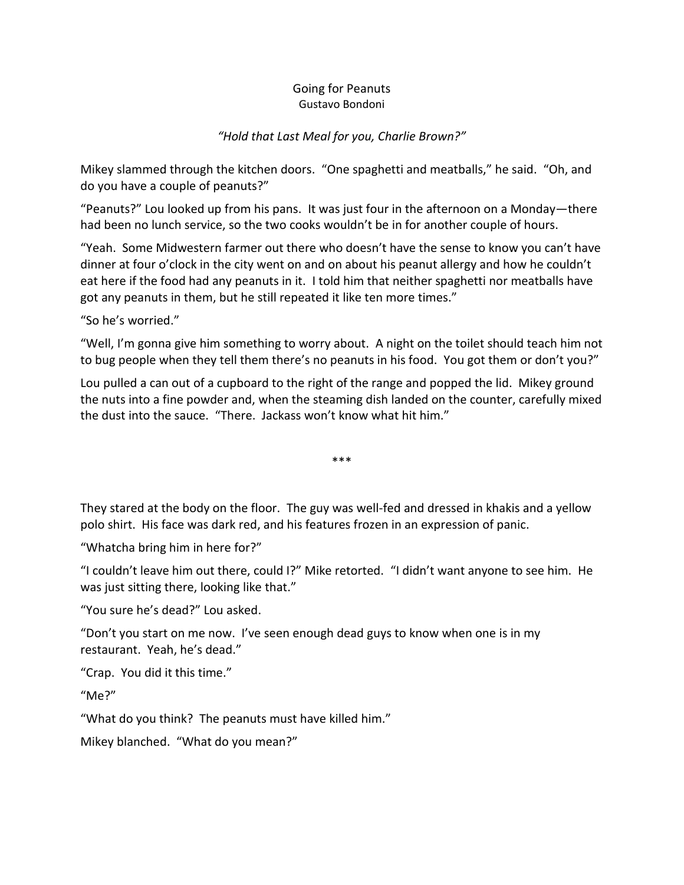## Going for Peanuts Gustavo Bondoni

## *"Hold that Last Meal for you, Charlie Brown?"*

Mikey slammed through the kitchen doors. "One spaghetti and meatballs," he said. "Oh, and do you have a couple of peanuts?"

"Peanuts?" Lou looked up from his pans. It was just four in the afternoon on a Monday—there had been no lunch service, so the two cooks wouldn't be in for another couple of hours.

"Yeah. Some Midwestern farmer out there who doesn't have the sense to know you can't have dinner at four o'clock in the city went on and on about his peanut allergy and how he couldn't eat here if the food had any peanuts in it. I told him that neither spaghetti nor meatballs have got any peanuts in them, but he still repeated it like ten more times."

"So he's worried."

"Well, I'm gonna give him something to worry about. A night on the toilet should teach him not to bug people when they tell them there's no peanuts in his food. You got them or don't you?"

Lou pulled a can out of a cupboard to the right of the range and popped the lid. Mikey ground the nuts into a fine powder and, when the steaming dish landed on the counter, carefully mixed the dust into the sauce. "There. Jackass won't know what hit him."

\*\*\*

They stared at the body on the floor. The guy was well-fed and dressed in khakis and a yellow polo shirt. His face was dark red, and his features frozen in an expression of panic.

"Whatcha bring him in here for?"

"I couldn't leave him out there, could I?" Mike retorted. "I didn't want anyone to see him. He was just sitting there, looking like that."

"You sure he's dead?" Lou asked.

"Don't you start on me now. I've seen enough dead guys to know when one is in my restaurant. Yeah, he's dead."

"Crap. You did it this time."

"Me?"

"What do you think? The peanuts must have killed him."

Mikey blanched. "What do you mean?"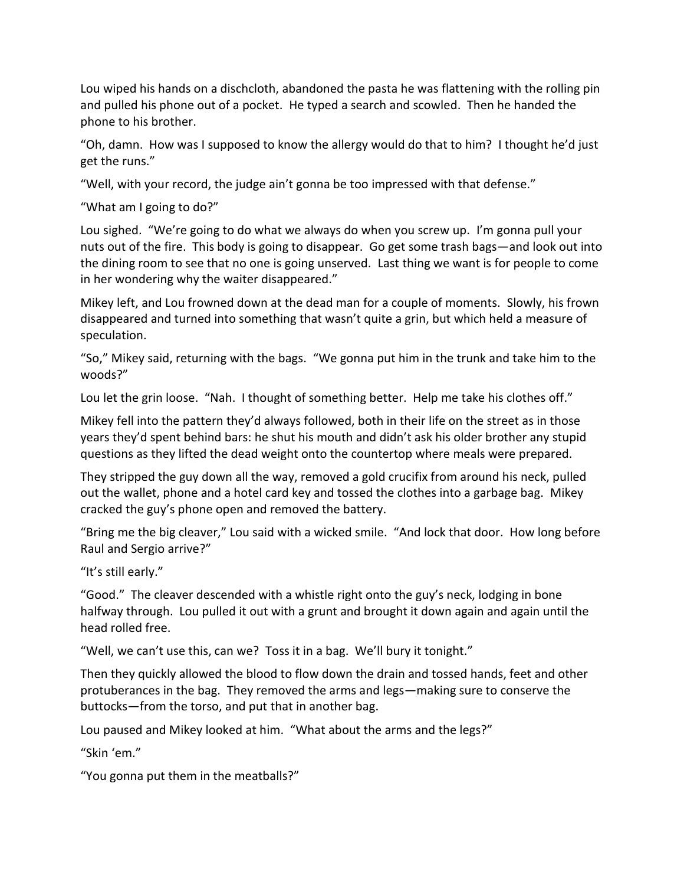Lou wiped his hands on a dischcloth, abandoned the pasta he was flattening with the rolling pin and pulled his phone out of a pocket. He typed a search and scowled. Then he handed the phone to his brother.

"Oh, damn. How was I supposed to know the allergy would do that to him? I thought he'd just get the runs."

"Well, with your record, the judge ain't gonna be too impressed with that defense."

"What am I going to do?"

Lou sighed. "We're going to do what we always do when you screw up. I'm gonna pull your nuts out of the fire. This body is going to disappear. Go get some trash bags—and look out into the dining room to see that no one is going unserved. Last thing we want is for people to come in her wondering why the waiter disappeared."

Mikey left, and Lou frowned down at the dead man for a couple of moments. Slowly, his frown disappeared and turned into something that wasn't quite a grin, but which held a measure of speculation.

"So," Mikey said, returning with the bags. "We gonna put him in the trunk and take him to the woods?"

Lou let the grin loose. "Nah. I thought of something better. Help me take his clothes off."

Mikey fell into the pattern they'd always followed, both in their life on the street as in those years they'd spent behind bars: he shut his mouth and didn't ask his older brother any stupid questions as they lifted the dead weight onto the countertop where meals were prepared.

They stripped the guy down all the way, removed a gold crucifix from around his neck, pulled out the wallet, phone and a hotel card key and tossed the clothes into a garbage bag. Mikey cracked the guy's phone open and removed the battery.

"Bring me the big cleaver," Lou said with a wicked smile. "And lock that door. How long before Raul and Sergio arrive?"

"It's still early."

"Good." The cleaver descended with a whistle right onto the guy's neck, lodging in bone halfway through. Lou pulled it out with a grunt and brought it down again and again until the head rolled free.

"Well, we can't use this, can we? Toss it in a bag. We'll bury it tonight."

Then they quickly allowed the blood to flow down the drain and tossed hands, feet and other protuberances in the bag. They removed the arms and legs—making sure to conserve the buttocks—from the torso, and put that in another bag.

Lou paused and Mikey looked at him. "What about the arms and the legs?"

"Skin 'em."

"You gonna put them in the meatballs?"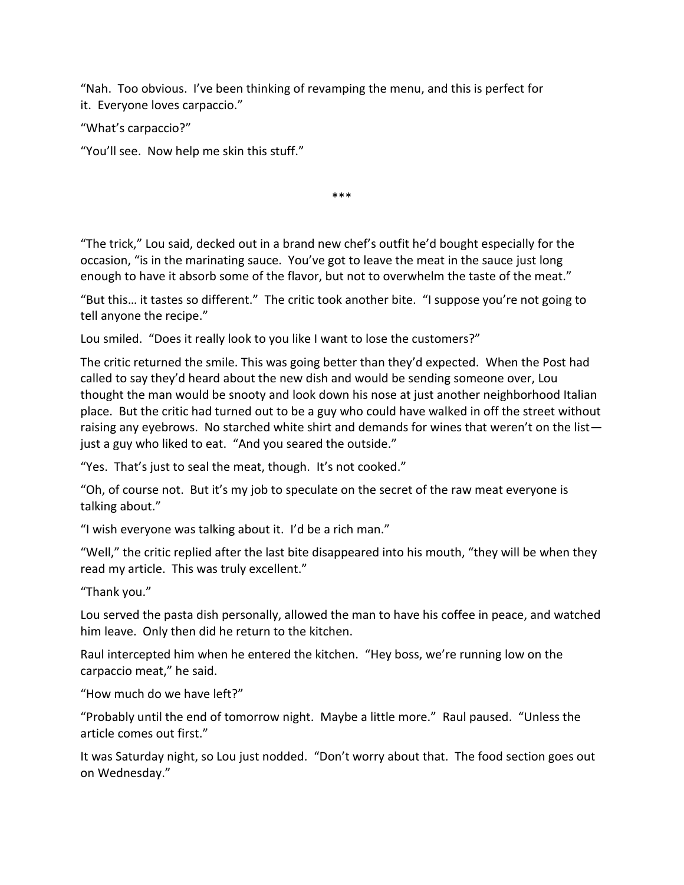"Nah. Too obvious. I've been thinking of revamping the menu, and this is perfect for it. Everyone loves carpaccio."

"What's carpaccio?"

"You'll see. Now help me skin this stuff."

\*\*\*

"The trick," Lou said, decked out in a brand new chef's outfit he'd bought especially for the occasion, "is in the marinating sauce. You've got to leave the meat in the sauce just long enough to have it absorb some of the flavor, but not to overwhelm the taste of the meat."

"But this… it tastes so different." The critic took another bite. "I suppose you're not going to tell anyone the recipe."

Lou smiled. "Does it really look to you like I want to lose the customers?"

The critic returned the smile. This was going better than they'd expected. When the Post had called to say they'd heard about the new dish and would be sending someone over, Lou thought the man would be snooty and look down his nose at just another neighborhood Italian place. But the critic had turned out to be a guy who could have walked in off the street without raising any eyebrows. No starched white shirt and demands for wines that weren't on the list just a guy who liked to eat. "And you seared the outside."

"Yes. That's just to seal the meat, though. It's not cooked."

"Oh, of course not. But it's my job to speculate on the secret of the raw meat everyone is talking about."

"I wish everyone was talking about it. I'd be a rich man."

"Well," the critic replied after the last bite disappeared into his mouth, "they will be when they read my article. This was truly excellent."

"Thank you."

Lou served the pasta dish personally, allowed the man to have his coffee in peace, and watched him leave. Only then did he return to the kitchen.

Raul intercepted him when he entered the kitchen. "Hey boss, we're running low on the carpaccio meat," he said.

"How much do we have left?"

"Probably until the end of tomorrow night. Maybe a little more." Raul paused. "Unless the article comes out first."

It was Saturday night, so Lou just nodded. "Don't worry about that. The food section goes out on Wednesday."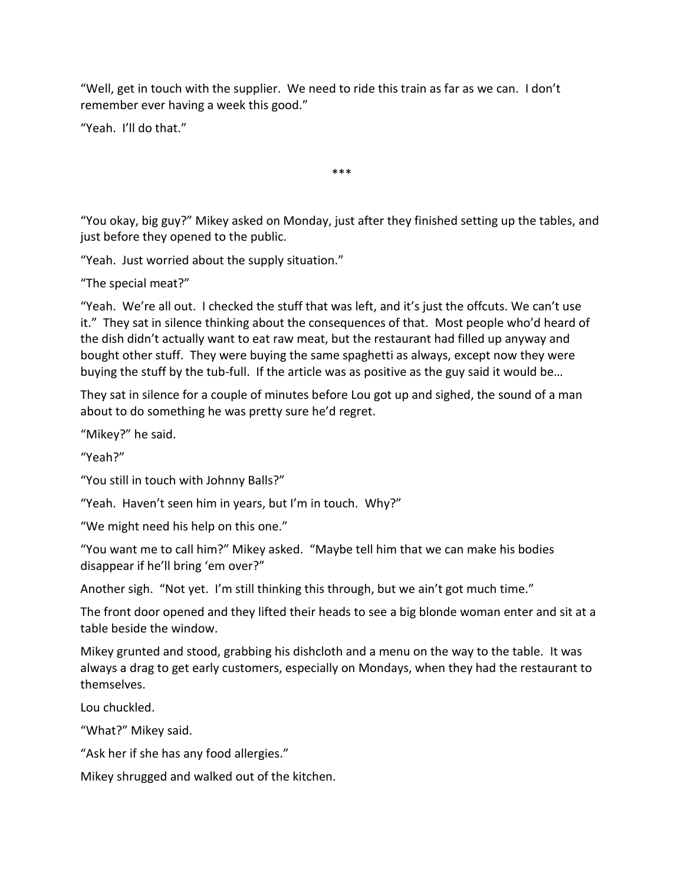"Well, get in touch with the supplier. We need to ride this train as far as we can. I don't remember ever having a week this good."

"Yeah. I'll do that."

\*\*\*

"You okay, big guy?" Mikey asked on Monday, just after they finished setting up the tables, and just before they opened to the public.

"Yeah. Just worried about the supply situation."

"The special meat?"

"Yeah. We're all out. I checked the stuff that was left, and it's just the offcuts. We can't use it." They sat in silence thinking about the consequences of that. Most people who'd heard of the dish didn't actually want to eat raw meat, but the restaurant had filled up anyway and bought other stuff. They were buying the same spaghetti as always, except now they were buying the stuff by the tub-full. If the article was as positive as the guy said it would be…

They sat in silence for a couple of minutes before Lou got up and sighed, the sound of a man about to do something he was pretty sure he'd regret.

"Mikey?" he said.

"Yeah?"

"You still in touch with Johnny Balls?"

"Yeah. Haven't seen him in years, but I'm in touch. Why?"

"We might need his help on this one."

"You want me to call him?" Mikey asked. "Maybe tell him that we can make his bodies disappear if he'll bring 'em over?"

Another sigh. "Not yet. I'm still thinking this through, but we ain't got much time."

The front door opened and they lifted their heads to see a big blonde woman enter and sit at a table beside the window.

Mikey grunted and stood, grabbing his dishcloth and a menu on the way to the table. It was always a drag to get early customers, especially on Mondays, when they had the restaurant to themselves.

Lou chuckled.

"What?" Mikey said.

"Ask her if she has any food allergies."

Mikey shrugged and walked out of the kitchen.